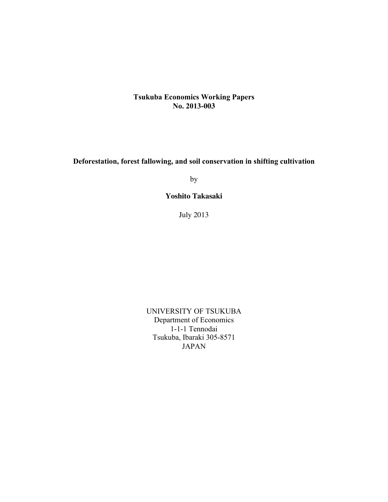### **Tsukuba Economics Working Papers No. 2013-003**

## **Deforestation, forest fallowing, and soil conservation in shifting cultivation**

by

**Yoshito Takasaki**

July 2013

UNIVERSITY OF TSUKUBA Department of Economics 1-1-1 Tennodai Tsukuba, Ibaraki 305-8571 JAPAN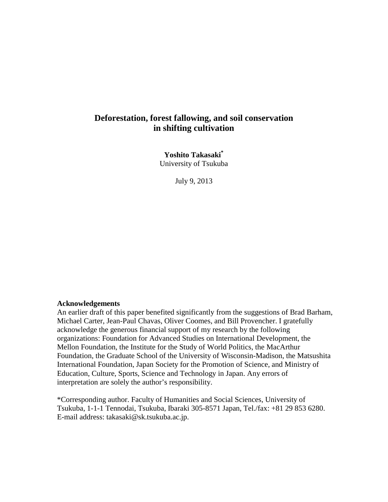## **Deforestation, forest fallowing, and soil conservation in shifting cultivation**

**Yoshito Takasaki\*** University of Tsukuba

July 9, 2013

#### **Acknowledgements**

An earlier draft of this paper benefited significantly from the suggestions of Brad Barham, Michael Carter, Jean-Paul Chavas, Oliver Coomes, and Bill Provencher. I gratefully acknowledge the generous financial support of my research by the following organizations: Foundation for Advanced Studies on International Development, the Mellon Foundation, the Institute for the Study of World Politics, the MacArthur Foundation, the Graduate School of the University of Wisconsin-Madison, the Matsushita International Foundation, Japan Society for the Promotion of Science, and Ministry of Education, Culture, Sports, Science and Technology in Japan. Any errors of interpretation are solely the author's responsibility.

<span id="page-1-0"></span>\*Corresponding author. Faculty of Humanities and Social Sciences, University of Tsukuba, 1-1-1 Tennodai, Tsukuba, Ibaraki 305-8571 Japan, Tel./fax: +81 29 853 6280. E-mail address: takasaki@sk.tsukuba.ac.jp.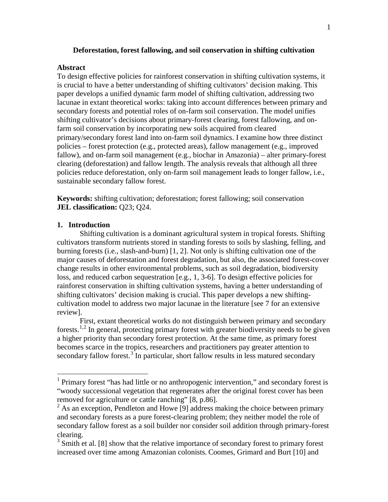#### **Deforestation, forest fallowing, and soil conservation in shifting cultivation**

#### **Abstract**

To design effective policies for rainforest conservation in shifting cultivation systems, it is crucial to have a better understanding of shifting cultivators' decision making. This paper develops a unified dynamic farm model of shifting cultivation, addressing two lacunae in extant theoretical works: taking into account differences between primary and secondary forests and potential roles of on-farm soil conservation. The model unifies shifting cultivator's decisions about primary-forest clearing, forest fallowing, and onfarm soil conservation by incorporating new soils acquired from cleared primary/secondary forest land into on-farm soil dynamics. I examine how three distinct policies – forest protection (e.g., protected areas), fallow management (e.g., improved fallow), and on-farm soil management (e.g., biochar in Amazonia) – alter primary-forest clearing (deforestation) and fallow length. The analysis reveals that although all three policies reduce deforestation, only on-farm soil management leads to longer fallow, i.e., sustainable secondary fallow forest.

**Keywords:** shifting cultivation; deforestation; forest fallowing; soil conservation **JEL classification:** Q23; Q24.

#### **1. Introduction**

Shifting cultivation is a dominant agricultural system in tropical forests. Shifting cultivators transform nutrients stored in standing forests to soils by slashing, felling, and burning forests (i.e., slash-and-burn) [\[1,](#page-10-0) [2\]](#page-10-1). Not only is shifting cultivation one of the major causes of deforestation and forest degradation, but also, the associated forest-cover change results in other environmental problems, such as soil degradation, biodiversity loss, and reduced carbon sequestration [e.g., [1,](#page-10-0) [3-6\]](#page-10-2). To design effective policies for rainforest conservation in shifting cultivation systems, having a better understanding of shifting cultivators' decision making is crucial. This paper develops a new shiftingcultivation model to address two major lacunae in the literature [\[see 7 for an extensive](#page-10-3)  [review\]](#page-10-3).

First, extant theoretical works do not distinguish between primary and secondary forests.<sup>[1,](#page-1-0)[2](#page-2-0)</sup> In general, protecting primary forest with greater biodiversity needs to be given a higher priority than secondary forest protection. At the same time, as primary forest becomes scarce in the tropics, researchers and practitioners pay greater attention to secondary fallow forest.<sup>[3](#page-2-1)</sup> In particular, short fallow results in less matured secondary

<span id="page-2-2"></span> $<sup>1</sup>$  Primary forest "has had little or no anthropogenic intervention," and secondary forest is</sup> "woody successional vegetation that regenerates after the original forest cover has been removed for agriculture or cattle ranching" [\[8, p.86\]](#page-10-4).<br><sup>2</sup> As an exception, Pendleton and Howe [\[9\]](#page-10-5) address making the choice between primary

<span id="page-2-0"></span>and secondary forests as a pure forest-clearing problem; they neither model the role of secondary fallow forest as a soil builder nor consider soil addition through primary-forest clearing.

<span id="page-2-1"></span><sup>&</sup>lt;sup>3</sup> Smith et al. [\[8\]](#page-10-4) show that the relative importance of secondary forest to primary forest increased over time among Amazonian colonists. Coomes, Grimard and Burt [\[10\]](#page-11-0) and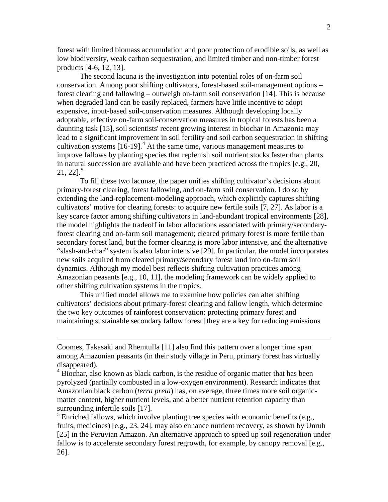forest with limited biomass accumulation and poor protection of erodible soils, as well as low biodiversity, weak carbon sequestration, and limited timber and non-timber forest products [\[4-6,](#page-10-6) [12,](#page-11-1) [13\]](#page-11-2).

The second lacuna is the investigation into potential roles of on-farm soil conservation. Among poor shifting cultivators, forest-based soil-management options – forest clearing and fallowing – outweigh on-farm soil conservation [\[14\]](#page-11-3). This is because when degraded land can be easily replaced, farmers have little incentive to adopt expensive, input-based soil-conservation measures. Although developing locally adoptable, effective on-farm soil-conservation measures in tropical forests has been a daunting task [\[15\]](#page-11-4), soil scientists' recent growing interest in biochar in Amazonia may lead to a significant improvement in soil fertility and soil carbon sequestration in shifting cultivation systems  $[16-19]$ .<sup>[4](#page-2-2)</sup> At the same time, various management measures to improve fallows by planting species that replenish soil nutrient stocks faster than plants in natural succession are available and have been practiced across the tropics [e.g., [20,](#page-11-6) [21,](#page-11-7) [22\]](#page-11-8). [5](#page-3-0)

To fill these two lacunae, the paper unifies shifting cultivator's decisions about primary-forest clearing, forest fallowing, and on-farm soil conservation. I do so by extending the land-replacement-modeling approach, which explicitly captures shifting cultivators' motive for clearing forests: to acquire new fertile soils [\[7,](#page-10-3) [27\]](#page-12-0). As labor is a key scarce factor among shifting cultivators in land-abundant tropical environments [\[28\]](#page-12-1), the model highlights the tradeoff in labor allocations associated with primary/secondaryforest clearing and on-farm soil management; cleared primary forest is more fertile than secondary forest land, but the former clearing is more labor intensive, and the alternative "slash-and-char" system is also labor intensive [\[29\]](#page-12-2). In particular, the model incorporates new soils acquired from cleared primary/secondary forest land into on-farm soil dynamics. Although my model best reflects shifting cultivation practices among Amazonian peasants [e.g., [10,](#page-11-0) [11\]](#page-11-9), the modeling framework can be widely applied to other shifting cultivation systems in the tropics.

This unified model allows me to examine how policies can alter shifting cultivators' decisions about primary-forest clearing and fallow length, which determine the two key outcomes of rainforest conservation: protecting primary forest and maintaining sustainable secondary fallow forest [\[they are a key for reducing emissions](#page-12-3) 

 $\overline{a}$ 

Coomes, Takasaki and Rhemtulla [\[11\]](#page-11-9) also find this pattern over a longer time span among Amazonian peasants (in their study village in Peru, primary forest has virtually disappeared).

<sup>&</sup>lt;sup>4</sup> Biochar, also known as black carbon, is the residue of organic matter that has been pyrolyzed (partially combusted in a low-oxygen environment). Research indicates that Amazonian black carbon (*terra preta*) has, on average, three times more soil organicmatter content, higher nutrient levels, and a better nutrient retention capacity than

<span id="page-3-1"></span><span id="page-3-0"></span>surrounding infertile soils [\[17\]](#page-11-10).<br><sup>5</sup> Enriched fallows, which involve planting tree species with economic benefits (e.g., fruits, medicines) [e.g., [23,](#page-11-11) [24\]](#page-11-12), may also enhance nutrient recovery, as shown by Unruh [\[25\]](#page-11-13) in the Peruvian Amazon. An alternative approach to speed up soil regeneration under fallow is to accelerate secondary forest regrowth, for example, by canopy removal [\[e.g.,](#page-11-14)  [26\]](#page-11-14).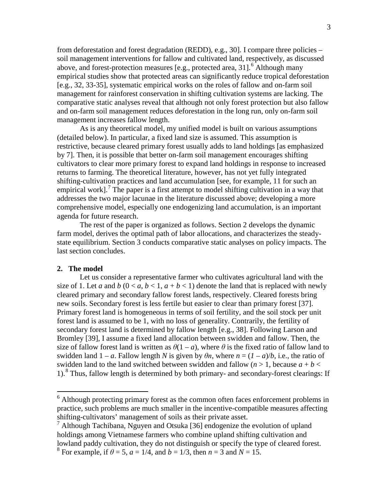[from deforestation and forest degradation \(REDD\), e.g., 30\]](#page-12-3). I compare three policies – soil management interventions for fallow and cultivated land, respectively, as discussed above, and forest-protection measures [\[e.g., protected area, 31\]](#page-12-4).<sup>[6](#page-3-1)</sup> Although many empirical studies show that protected areas can significantly reduce tropical deforestation [e.g., [32,](#page-12-5) [33-35\]](#page-12-6), systematic empirical works on the roles of fallow and on-farm soil management for rainforest conservation in shifting cultivation systems are lacking. The comparative static analyses reveal that although not only forest protection but also fallow and on-farm soil management reduces deforestation in the long run, only on-farm soil management increases fallow length.

As is any theoretical model, my unified model is built on various assumptions (detailed below). In particular, a fixed land size is assumed. This assumption is restrictive, because cleared primary forest usually adds to land holdings [\[as emphasized](#page-10-3)  [by 7\]](#page-10-3). Then, it is possible that better on-farm soil management encourages shifting cultivators to clear more primary forest to expand land holdings in response to increased returns to farming. The theoretical literature, however, has not yet fully integrated shifting-cultivation practices and land accumulation [\[see, for example, 11 for such an](#page-11-9)  [empirical work\]](#page-11-9).<sup>[7](#page-4-0)</sup> The paper is a first attempt to model shifting cultivation in a way that addresses the two major lacunae in the literature discussed above; developing a more comprehensive model, especially one endogenizing land accumulation, is an important agenda for future research.

The rest of the paper is organized as follows. Section 2 develops the dynamic farm model, derives the optimal path of labor allocations, and characterizes the steadystate equilibrium. Section 3 conducts comparative static analyses on policy impacts. The last section concludes.

#### **2. The model**

Let us consider a representative farmer who cultivates agricultural land with the size of 1. Let *a* and *b*  $(0 < a, b < 1, a + b < 1)$  denote the land that is replaced with newly cleared primary and secondary fallow forest lands, respectively. Cleared forests bring new soils. Secondary forest is less fertile but easier to clear than primary forest [\[37\]](#page-12-7). Primary forest land is homogeneous in terms of soil fertility, and the soil stock per unit forest land is assumed to be 1, with no loss of generality. Contrarily, the fertility of secondary forest land is determined by fallow length [\[e.g., 38\]](#page-12-8). Following Larson and Bromley [\[39\]](#page-12-9), I assume a fixed land allocation between swidden and fallow. Then, the size of fallow forest land is written as  $\theta(1 - a)$ , where  $\theta$  is the fixed ratio of fallow land to swidden land  $1 - a$ . Fallow length *N* is given by  $\theta n$ , where  $n = (1 - a)/b$ , i.e., the ratio of swidden land to the land switched between swidden and fallow ( $n > 1$ , because  $a + b <$ 1).[8](#page-4-1) Thus, fallow length is determined by both primary- and secondary-forest clearings: If

<span id="page-4-2"></span> $6$  Although protecting primary forest as the common often faces enforcement problems in practice, such problems are much smaller in the incentive-compatible measures affecting shifting-cultivators' management of soils as their private asset.

<span id="page-4-1"></span><span id="page-4-0"></span><sup>7</sup> Although Tachibana, Nguyen and Otsuka [\[36\]](#page-12-10) endogenize the evolution of upland holdings among Vietnamese farmers who combine upland shifting cultivation and lowland paddy cultivation, they do not distinguish or specify the type of cleared forest. <sup>8</sup> For example, if  $\theta = 5$ ,  $a = 1/4$ , and  $b = 1/3$ , then  $n = 3$  and  $N = 15$ .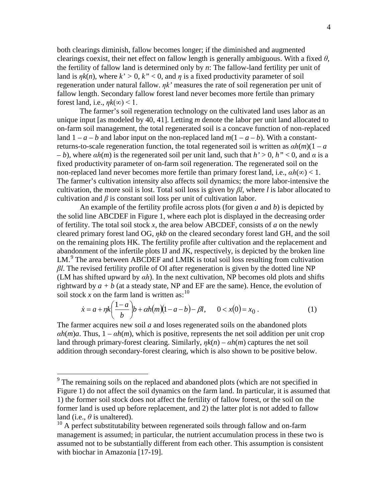both clearings diminish, fallow becomes longer; if the diminished and augmented clearings coexist, their net effect on fallow length is generally ambiguous. With a fixed *θ*, the fertility of fallow land is determined only by *n*: The fallow-land fertility per unit of land is  $\eta k(n)$ , where  $k' > 0$ ,  $k'' < 0$ , and  $\eta$  is a fixed productivity parameter of soil regeneration under natural fallow. *ηk'* measures the rate of soil regeneration per unit of fallow length. Secondary fallow forest land never becomes more fertile than primary forest land, i.e.,  $\eta k(\infty) < 1$ .

The farmer's soil regeneration technology on the cultivated land uses labor as an unique input [as modeled by [40,](#page-12-11) [41\]](#page-12-12). Letting *m* denote the labor per unit land allocated to on-farm soil management, the total regenerated soil is a concave function of non-replaced land  $1 - a - b$  and labor input on the non-replaced land  $m(1 - a - b)$ . With a constantreturns-to-scale regeneration function, the total regenerated soil is written as *αh*(*m*)(1 – *a* – *b*), where *αh*(*m*) is the regenerated soil per unit land, such that *h'* > 0, *h"* < 0, and *α* is a fixed productivity parameter of on-farm soil regeneration. The regenerated soil on the non-replaced land never becomes more fertile than primary forest land, i.e., *αh*(*∞*) < 1. The farmer's cultivation intensity also affects soil dynamics; the more labor-intensive the cultivation, the more soil is lost. Total soil loss is given by *βl*, where *l* is labor allocated to cultivation and  $\beta$  is constant soil loss per unit of cultivation labor.

An example of the fertility profile across plots (for given *a* and *b*) is depicted by the solid line ABCDEF in Figure 1, where each plot is displayed in the decreasing order of fertility. The total soil stock *x*, the area below ABCDEF, consists of *a* on the newly cleared primary forest land OG, *ηkb* on the cleared secondary forest land GH, and the soil on the remaining plots HK. The fertility profile after cultivation and the replacement and abandonment of the infertile plots IJ and JK, respectively, is depicted by the broken line LM.<sup>[9](#page-4-2)</sup> The area between ABCDEF and LMIK is total soil loss resulting from cultivation *βl*. The revised fertility profile of OI after regeneration is given by the dotted line NP (LM has shifted upward by *αh*). In the next cultivation, NP becomes old plots and shifts rightward by  $a + b$  (at a steady state, NP and EF are the same). Hence, the evolution of soil stock  $x$  on the farm land is written as:<sup>[10](#page-5-0)</sup>

$$
\dot{x} = a + \eta k \left( \frac{1 - a}{b} \right) b + \alpha h(m) (1 - a - b) - \beta l, \qquad 0 < x(0) = x_0 \,. \tag{1}
$$

<span id="page-5-1"></span>The farmer acquires new soil *a* and loses regenerated soils on the abandoned plots  $\alpha h(m)a$ . Thus,  $1 - \alpha h(m)$ , which is positive, represents the net soil addition per unit crop land through primary-forest clearing. Similarly,  $nk(n) - \alpha h(m)$  captures the net soil addition through secondary-forest clearing, which is also shown to be positive below.

 $9<sup>9</sup>$  The remaining soils on the replaced and abandoned plots (which are not specified in Figure 1) do not affect the soil dynamics on the farm land. In particular, it is assumed that 1) the former soil stock does not affect the fertility of fallow forest, or the soil on the former land is used up before replacement, and 2) the latter plot is not added to fallow land (i.e.,  $\theta$  is unaltered).

<span id="page-5-0"></span> $10$  A perfect substitutability between regenerated soils through fallow and on-farm management is assumed; in particular, the nutrient accumulation process in these two is assumed not to be substantially different from each other. This assumption is consistent with biochar in Amazonia [\[17-19\]](#page-11-10).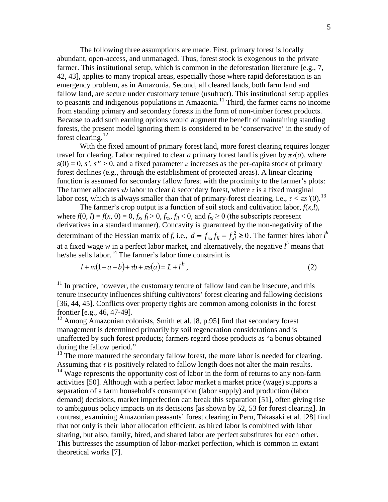The following three assumptions are made. First, primary forest is locally abundant, open-access, and unmanaged. Thus, forest stock is exogenous to the private farmer. This institutional setup, which is common in the deforestation literature [e.g., [7,](#page-10-3) [42,](#page-13-0) [43\]](#page-13-1), applies to many tropical areas, especially those where rapid deforestation is an emergency problem, as in Amazonia. Second, all cleared lands, both farm land and fallow land, are secure under customary tenure (usufruct). This institutional setup applies to peasants and indigenous populations in Amazonia.<sup>[11](#page-5-1)</sup> Third, the farmer earns no income from standing primary and secondary forests in the form of non-timber forest products. Because to add such earning options would augment the benefit of maintaining standing forests, the present model ignoring them is considered to be 'conservative' in the study of forest clearing.<sup>[12](#page-6-0)</sup>

With the fixed amount of primary forest land, more forest clearing requires longer travel for clearing. Labor required to clear *a* primary forest land is given by  $\pi s(a)$ , where  $s(0) = 0$ , *s'*, *s"* > 0, and a fixed parameter  $\pi$  increases as the per-capita stock of primary forest declines (e.g., through the establishment of protected areas). A linear clearing function is assumed for secondary fallow forest with the proximity to the farmer's plots: The farmer allocates *τb* labor to clear *b* secondary forest, where *τ* is a fixed marginal labor cost, which is always smaller than that of primary-forest clearing, i.e.,  $\tau < \pi s'(0)$ .<sup>[13](#page-6-1)</sup>

The farmer's crop output is a function of soil stock and cultivation labor,  $f(x, l)$ , where  $f(0, l) = f(x, 0) = 0$ ,  $f_x, f_l > 0$ ,  $f_{xx}, f_l < 0$ , and  $f_{xl} \ge 0$  (the subscripts represent derivatives in a standard manner). Concavity is guaranteed by the non-negativity of the determinant of the Hessian matrix of *f*, i.e.,  $d = f_{xx}f_{ll} - f_{xl}^2 \ge 0$ . The farmer hires labor  $l^h$ at a fixed wage *w* in a perfect labor market, and alternatively, the negative *l <sup>h</sup>* means that he/she sells labor.<sup>[14](#page-6-2)</sup> The farmer's labor time constraint is

$$
l + m(1 - a - b) + \tau b + \tau s(a) = L + l^h,
$$
\n(2)

 $11$  In practice, however, the customary tenure of fallow land can be insecure, and this tenure insecurity influences shifting cultivators' forest clearing and fallowing decisions [\[36,](#page-12-10) [44,](#page-13-2) [45\]](#page-13-3). Conflicts over property rights are common among colonists in the forest frontier [e.g., [46,](#page-13-4) [47-49\]](#page-13-5).<br><sup>12</sup> Among Amazonian colonists, Smith et al. [\[8, p.95\]](#page-10-4) find that secondary forest

<span id="page-6-0"></span>management is determined primarily by soil regeneration considerations and is unaffected by such forest products; farmers regard those products as "a bonus obtained during the fallow period."

<span id="page-6-1"></span><sup>&</sup>lt;sup>13</sup> The more matured the secondary fallow forest, the more labor is needed for clearing.<br>Assuming that  $\tau$  is positively related to fallow length does not alter the main results.

<span id="page-6-3"></span><span id="page-6-2"></span><sup>&</sup>lt;sup>14</sup> Wage represents the opportunity cost of labor in the form of returns to any non-farm activities [\[50\]](#page-13-6). Although with a perfect labor market a market price (wage) supports a separation of a farm household's consumption (labor supply) and production (labor demand) decisions, market imperfection can break this separation [\[51\]](#page-13-7), often giving rise to ambiguous policy impacts on its decisions [as shown by [52,](#page-13-8) [53 for forest clearing\]](#page-13-9). In contrast, examining Amazonian peasants' forest clearing in Peru, Takasaki et al. [\[28\]](#page-12-1) find that not only is their labor allocation efficient, as hired labor is combined with labor sharing, but also, family, hired, and shared labor are perfect substitutes for each other. This buttresses the assumption of labor-market perfection, which is common in extant theoretical works [\[7\]](#page-10-3).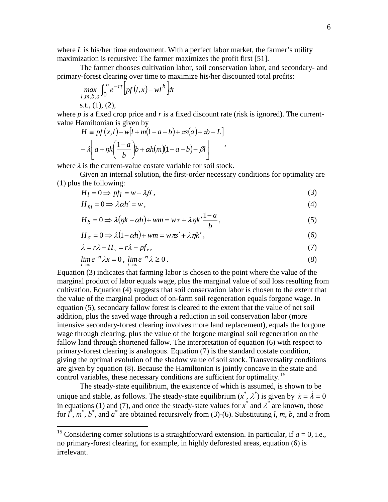where *L* is his/her time endowment. With a perfect labor market, the farmer's utility maximization is recursive: The farmer maximizes the profit first [\[51\]](#page-13-7).

The farmer chooses cultivation labor, soil conservation labor, and secondary- and primary-forest clearing over time to maximize his/her discounted total profits:

$$
\max_{l,m,b,a} \int_0^\infty e^{-rt} \Big[ pf(l,x) - w l^h \Big] dt
$$

s.t.,  $(1)$ ,  $(2)$ ,

where *p* is a fixed crop price and *r* is a fixed discount rate (risk is ignored). The currentvalue Hamiltonian is given by

$$
H = pf(x, l) - w[l + m(1 - a - b) + \pi s(a) + \tau b - L]
$$

$$
+ \lambda \left[ a + \eta k \left( \frac{1 - a}{b} \right) b + \alpha h(m)(1 - a - b) - \beta l \right],
$$

where *λ* is the current-value costate variable for soil stock.

Given an internal solution, the first-order necessary conditions for optimality are (1) plus the following:

$$
H_l = 0 \Rightarrow pf_l = w + \lambda \beta \,, \tag{3}
$$

$$
H_m = 0 \Rightarrow \lambda \alpha h' = w,\tag{4}
$$

$$
H_b = 0 \Rightarrow \lambda(\eta k - \alpha h) + w m = w \tau + \lambda \eta k' \frac{1 - a}{b},
$$
\n(5)

$$
H_a = 0 \Rightarrow \lambda (1 - \alpha h) + w m = w \pi s' + \lambda \eta k', \qquad (6)
$$

$$
\dot{\lambda} = r\lambda - H_x = r\lambda - pf_x,\tag{7}
$$

$$
\lim_{t \to \infty} e^{-rt} \lambda x = 0, \lim_{t \to \infty} e^{-rt} \lambda \ge 0.
$$
\n(8)

Equation (3) indicates that farming labor is chosen to the point where the value of the marginal product of labor equals wage, plus the marginal value of soil loss resulting from cultivation. Equation (4) suggests that soil conservation labor is chosen to the extent that the value of the marginal product of on-farm soil regeneration equals forgone wage. In equation (5), secondary fallow forest is cleared to the extent that the value of net soil addition, plus the saved wage through a reduction in soil conservation labor (more intensive secondary-forest clearing involves more land replacement), equals the forgone wage through clearing, plus the value of the forgone marginal soil regeneration on the fallow land through shortened fallow. The interpretation of equation (6) with respect to primary-forest clearing is analogous. Equation (7) is the standard costate condition, giving the optimal evolution of the shadow value of soil stock. Transversality conditions are given by equation (8). Because the Hamiltonian is jointly concave in the state and control variables, these necessary conditions are sufficient for optimality.<sup>[15](#page-6-3)</sup>

The steady-state equilibrium, the existence of which is assumed, is shown to be unique and stable, as follows. The steady-state equilibrium  $(x^*, \lambda^*)$  is given by  $\dot{x} = \dot{\lambda} = 0$ in equations (1) and (7), and once the steady-state values for  $x^*$  and  $\lambda^*$  are known, those for  $l^*$ ,  $m^*$ ,  $b^*$ , and  $a^*$  are obtained recursively from (3)-(6). Substituting *l*, *m*, *b*, and *a* from

<span id="page-7-0"></span><sup>&</sup>lt;sup>15</sup> Considering corner solutions is a straightforward extension. In particular, if  $a = 0$ , i.e., no primary-forest clearing, for example, in highly deforested areas, equation (6) is irrelevant.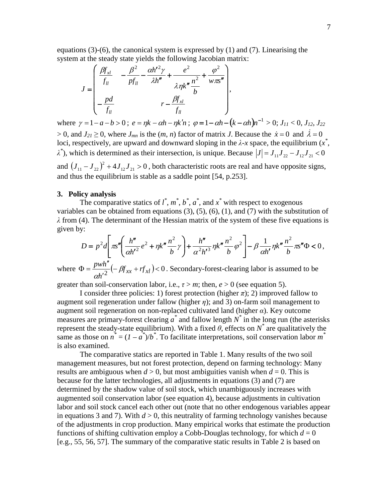equations  $(3)-(6)$ , the canonical system is expressed by  $(1)$  and  $(7)$ . Linearising the system at the steady state yields the following Jacobian matrix:

$$
J = \begin{bmatrix} \frac{\beta f_{xl}}{f_{ll}} & -\frac{\beta^2}{pf_{ll}} - \frac{\alpha h'^2 \gamma}{\lambda h''} + \frac{e^2}{\lambda \eta k''} \frac{\phi^2}{h} + \frac{\phi^2}{w \pi s''} \\ -\frac{pd}{f_{ll}} & r - \frac{\beta f_{xl}}{f_{ll}} \end{bmatrix},
$$

where  $\gamma = 1 - a - b > 0$ ;  $e = \eta k - \alpha h - \eta k' n$ ;  $\varphi = 1 - \alpha h - (k - \alpha h) n^{-1} > 0$ ;  $J_{11} < 0$ ,  $J_{12}$ ,  $J_{22}$ 

 $> 0$ , and  $J_{21} \ge 0$ , where  $J_{mn}$  is the  $(m, n)$  factor of matrix *J*. Because the  $\dot{x} = 0$  and  $\dot{\lambda} = 0$ loci, respectively, are upward and downward sloping in the  $\lambda$ -x space, the equilibrium  $(x^*)$ ,  $\lambda^*$ ), which is determined as their intersection, is unique. Because  $|J| = J_{11}J_{22} - J_{12}J_{21} < 0$ 

and  $(J_{11} - J_{22})^2 + 4J_{12}J_{21} > 0$ , both characteristic roots are real and have opposite signs, and thus the equilibrium is stable as a saddle point [\[54, p.253\]](#page-13-10).

#### **3. Policy analysis**

The comparative statics of  $l^*$ ,  $m^*$ ,  $b^*$ ,  $a^*$ , and  $x^*$  with respect to exogenous variables can be obtained from equations  $(3)$ ,  $(5)$ ,  $(6)$ ,  $(1)$ , and  $(7)$  with the substitution of *λ* from (4). The determinant of the Hessian matrix of the system of these five equations is given by:

$$
D = p^2 d \left[ \pi s'' \left( \frac{h''}{\alpha h'^2} e^2 + \eta k'' \frac{n^2}{b} \gamma \right) + \frac{h''}{\alpha^2 h'^3} \eta k'' \frac{n^2}{b} \varphi^2 \right] - \beta \frac{1}{\alpha h'} \eta k'' \frac{n^2}{b} \pi s'' \Phi < 0,
$$

where  $\Phi = \frac{pwh''}{ah'^2}(-\beta f_{xx} + rf_{xl}) < 0$ *h*  $\frac{pwh''}{2}(-\beta$ α . Secondary-forest-clearing labor is assumed to be

greater than soil-conservation labor, i.e.,  $\tau > m$ ; then,  $e > 0$  (see equation 5).

I consider three policies: 1) forest protection (higher  $\pi$ ); 2) improved fallow to augment soil regeneration under fallow (higher *η*); and 3) on-farm soil management to augment soil regeneration on non-replaced cultivated land (higher *α*). Key outcome measures are primary-forest clearing  $a^*$  and fallow length  $N^*$  in the long run (the asterisks represent the steady-state equilibrium). With a fixed  $θ$ , effects on  $N^*$  are qualitatively the same as those on  $n^* = (I - a^*)/b^*$ . To facilitate interpretations, soil conservation labor  $m^*$ is also examined.

The comparative statics are reported in Table 1. Many results of the two soil management measures, but not forest protection, depend on farming technology: Many results are ambiguous when  $d > 0$ , but most ambiguities vanish when  $d = 0$ . This is because for the latter technologies, all adjustments in equations (3) and (7) are determined by the shadow value of soil stock, which unambiguously increases with augmented soil conservation labor (see equation 4), because adjustments in cultivation labor and soil stock cancel each other out (note that no other endogenous variables appear in equations 3 and 7). With  $d > 0$ , this neutrality of farming technology vanishes because of the adjustments in crop production. Many empirical works that estimate the production functions of shifting cultivation employ a Cobb-Douglas technology, for which  $d = 0$ [e.g., [55,](#page-13-11) [56,](#page-13-12) [57\]](#page-13-13). The summary of the comparative static results in Table 2 is based on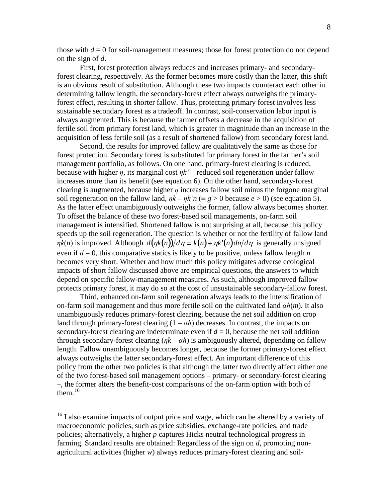those with  $d = 0$  for soil-management measures; those for forest protection do not depend on the sign of *d*.

First, forest protection always reduces and increases primary- and secondaryforest clearing, respectively. As the former becomes more costly than the latter, this shift is an obvious result of substitution. Although these two impacts counteract each other in determining fallow length, the secondary-forest effect always outweighs the primaryforest effect, resulting in shorter fallow. Thus, protecting primary forest involves less sustainable secondary forest as a tradeoff. In contrast, soil-conservation labor input is always augmented. This is because the farmer offsets a decrease in the acquisition of fertile soil from primary forest land, which is greater in magnitude than an increase in the acquisition of less fertile soil (as a result of shortened fallow) from secondary forest land.

Second, the results for improved fallow are qualitatively the same as those for forest protection. Secondary forest is substituted for primary forest in the farmer's soil management portfolio, as follows. On one hand, primary-forest clearing is reduced, because with higher *η*, its marginal cost *ηk'* – reduced soil regeneration under fallow – increases more than its benefit (see equation 6). On the other hand, secondary-forest clearing is augmented, because higher *η* increases fallow soil minus the forgone marginal soil regeneration on the fallow land,  $\eta k - \eta k \hat{n} \equiv g > 0$  because  $e > 0$ ) (see equation 5). As the latter effect unambiguously outweighs the former, fallow always becomes shorter. To offset the balance of these two forest-based soil managements, on-farm soil management is intensified. Shortened fallow is not surprising at all, because this policy speeds up the soil regeneration. The question is whether or not the fertility of fallow land *ηk*(*n*) is improved. Although  $d(\eta k(n))/d\eta = k(n) + \eta k'(n) d\eta/d\eta$  is generally unsigned even if  $d = 0$ , this comparative statics is likely to be positive, unless fallow length *n* becomes very short. Whether and how much this policy mitigates adverse ecological impacts of short fallow discussed above are empirical questions, the answers to which depend on specific fallow-management measures. As such, although improved fallow protects primary forest, it may do so at the cost of unsustainable secondary-fallow forest.

Third, enhanced on-farm soil regeneration always leads to the intensification of on-farm soil management and thus more fertile soil on the cultivated land *αh*(*m*). It also unambiguously reduces primary-forest clearing, because the net soil addition on crop land through primary-forest clearing  $(1 - \alpha h)$  decreases. In contrast, the impacts on secondary-forest clearing are indeterminate even if  $d = 0$ , because the net soil addition through secondary-forest clearing  $(\eta k - \alpha h)$  is ambiguously altered, depending on fallow length. Fallow unambiguously becomes longer, because the former primary-forest effect always outweighs the latter secondary-forest effect. An important difference of this policy from the other two policies is that although the latter two directly affect either one of the two forest-based soil management options – primary- or secondary-forest clearing –, the former alters the benefit-cost comparisons of the on-farm option with both of them. [16](#page-7-0)

<sup>&</sup>lt;sup>16</sup> I also examine impacts of output price and wage, which can be altered by a variety of macroeconomic policies, such as price subsidies, exchange-rate policies, and trade policies; alternatively, a higher *p* captures Hicks neutral technological progress in farming. Standard results are obtained: Regardless of the sign on *d*, promoting nonagricultural activities (higher *w*) always reduces primary-forest clearing and soil-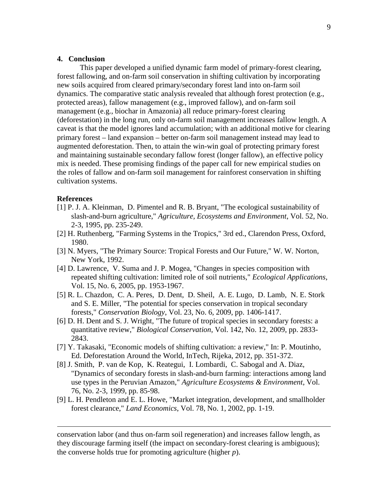#### **4. Conclusion**

This paper developed a unified dynamic farm model of primary-forest clearing, forest fallowing, and on-farm soil conservation in shifting cultivation by incorporating new soils acquired from cleared primary/secondary forest land into on-farm soil dynamics. The comparative static analysis revealed that although forest protection (e.g., protected areas), fallow management (e.g., improved fallow), and on-farm soil management (e.g., biochar in Amazonia) all reduce primary-forest clearing (deforestation) in the long run, only on-farm soil management increases fallow length. A caveat is that the model ignores land accumulation; with an additional motive for clearing primary forest – land expansion – better on-farm soil management instead may lead to augmented deforestation. Then, to attain the win-win goal of protecting primary forest and maintaining sustainable secondary fallow forest (longer fallow), an effective policy mix is needed. These promising findings of the paper call for new empirical studies on the roles of fallow and on-farm soil management for rainforest conservation in shifting cultivation systems.

#### **References**

 $\overline{a}$ 

- <span id="page-10-0"></span>[1] P. J. A. Kleinman, D. Pimentel and R. B. Bryant, "The ecological sustainability of slash-and-burn agriculture," *Agriculture, Ecosystems and Environment*, Vol. 52, No. 2-3, 1995, pp. 235-249.
- <span id="page-10-1"></span>[2] H. Ruthenberg, "Farming Systems in the Tropics," 3rd ed., Clarendon Press, Oxford, 1980.
- <span id="page-10-2"></span>[3] N. Myers, "The Primary Source: Tropical Forests and Our Future," W. W. Norton, New York, 1992.
- <span id="page-10-6"></span>[4] D. Lawrence, V. Suma and J. P. Mogea, "Changes in species composition with repeated shifting cultivation: limited role of soil nutrients," *Ecological Applications*, Vol. 15, No. 6, 2005, pp. 1953-1967.
- [5] R. L. Chazdon, C. A. Peres, D. Dent, D. Sheil, A. E. Lugo, D. Lamb, N. E. Stork and S. E. Miller, "The potential for species conservation in tropical secondary forests," *Conservation Biology*, Vol. 23, No. 6, 2009, pp. 1406-1417.
- [6] D. H. Dent and S. J. Wright, "The future of tropical species in secondary forests: a quantitative review," *Biological Conservation*, Vol. 142, No. 12, 2009, pp. 2833- 2843.
- <span id="page-10-3"></span>[7] Y. Takasaki, "Economic models of shifting cultivation: a review," In: P. Moutinho, Ed. Deforestation Around the World, InTech, Rijeka, 2012, pp. 351-372.
- <span id="page-10-4"></span>[8] J. Smith, P. van de Kop, K. Reategui, I. Lombardi, C. Sabogal and A. Diaz, "Dynamics of secondary forests in slash-and-burn farming: interactions among land use types in the Peruvian Amazon," *Agriculture Ecosystems & Environment*, Vol. 76, No. 2-3, 1999, pp. 85-98.
- <span id="page-10-5"></span>[9] L. H. Pendleton and E. L. Howe, "Market integration, development, and smallholder forest clearance," *Land Economics*, Vol. 78, No. 1, 2002, pp. 1-19.

conservation labor (and thus on-farm soil regeneration) and increases fallow length, as they discourage farming itself (the impact on secondary-forest clearing is ambiguous); the converse holds true for promoting agriculture (higher *p*).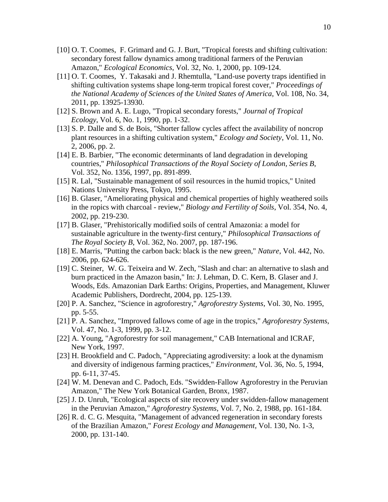- <span id="page-11-0"></span>[10] O. T. Coomes, F. Grimard and G. J. Burt, "Tropical forests and shifting cultivation: secondary forest fallow dynamics among traditional farmers of the Peruvian Amazon," *Ecological Economics*, Vol. 32, No. 1, 2000, pp. 109-124.
- <span id="page-11-9"></span>[11] O. T. Coomes, Y. Takasaki and J. Rhemtulla, "Land-use poverty traps identified in shifting cultivation systems shape long-term tropical forest cover," *Proceedings of the National Academy of Sciences of the United States of America*, Vol. 108, No. 34, 2011, pp. 13925-13930.
- <span id="page-11-1"></span>[12] S. Brown and A. E. Lugo, "Tropical secondary forests," *Journal of Tropical Ecology*, Vol. 6, No. 1, 1990, pp. 1-32.
- <span id="page-11-2"></span>[13] S. P. Dalle and S. de Bois, "Shorter fallow cycles affect the availability of noncrop plant resources in a shifting cultivation system," *Ecology and Society*, Vol. 11, No. 2, 2006, pp. 2.
- <span id="page-11-3"></span>[14] E. B. Barbier, "The economic determinants of land degradation in developing countries," *Philosophical Transactions of the Royal Society of London, Series B*, Vol. 352, No. 1356, 1997, pp. 891-899.
- <span id="page-11-4"></span>[15] R. Lal, "Sustainable management of soil resources in the humid tropics," United Nations University Press, Tokyo, 1995.
- <span id="page-11-5"></span>[16] B. Glaser, "Ameliorating physical and chemical properties of highly weathered soils in the ropics with charcoal - review," *Biology and Fertility of Soils*, Vol. 354, No. 4, 2002, pp. 219-230.
- <span id="page-11-10"></span>[17] B. Glaser, "Prehistorically modified soils of central Amazonia: a model for sustainable agriculture in the twenty-first century," *Philosophical Transactions of The Royal Society B*, Vol. 362, No. 2007, pp. 187-196.
- [18] E. Marris, "Putting the carbon back: black is the new green," *Nature*, Vol. 442, No. 2006, pp. 624-626.
- [19] C. Steiner, W. G. Teixeira and W. Zech, "Slash and char: an alternative to slash and burn practiced in the Amazon basin," In: J. Lehman, D. C. Kern, B. Glaser and J. Woods, Eds. Amazonian Dark Earths: Origins, Properties, and Management, Kluwer Academic Publishers, Dordrecht, 2004, pp. 125-139.
- <span id="page-11-6"></span>[20] P. A. Sanchez, "Science in agroforestry," *Agroforestry Systems*, Vol. 30, No. 1995, pp. 5-55.
- <span id="page-11-7"></span>[21] P. A. Sanchez, "Improved fallows come of age in the tropics," *Agroforestry Systems*, Vol. 47, No. 1-3, 1999, pp. 3-12.
- <span id="page-11-8"></span>[22] A. Young, "Agroforestry for soil management," CAB International and ICRAF, New York, 1997.
- <span id="page-11-11"></span>[23] H. Brookfield and C. Padoch, "Appreciating agrodiversity: a look at the dynamism and diversity of indigenous farming practices," *Environment*, Vol. 36, No. 5, 1994, pp. 6-11, 37-45.
- <span id="page-11-12"></span>[24] W. M. Denevan and C. Padoch, Eds. "Swidden-Fallow Agroforestry in the Peruvian Amazon," The New York Botanical Garden, Bronx, 1987.
- <span id="page-11-13"></span>[25] J. D. Unruh, "Ecological aspects of site recovery under swidden-fallow management in the Peruvian Amazon," *Agroforestry Systems*, Vol. 7, No. 2, 1988, pp. 161-184.
- <span id="page-11-14"></span>[26] R. d. C. G. Mesquita, "Management of advanced regeneration in secondary forests of the Brazilian Amazon," *Forest Ecology and Management*, Vol. 130, No. 1-3, 2000, pp. 131-140.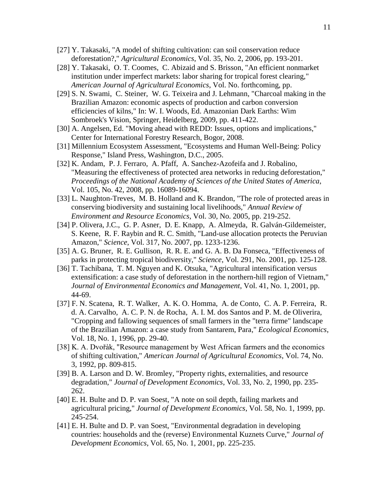- <span id="page-12-0"></span>[27] Y. Takasaki, "A model of shifting cultivation: can soil conservation reduce deforestation?," *Agricultural Economics*, Vol. 35, No. 2, 2006, pp. 193-201.
- <span id="page-12-1"></span>[28] Y. Takasaki, O. T. Coomes, C. Abizaid and S. Brisson, "An efficient nonmarket institution under imperfect markets: labor sharing for tropical forest clearing," *American Journal of Agricultural Economics*, Vol. No. forthcoming, pp.
- <span id="page-12-2"></span>[29] S. N. Swami, C. Steiner, W. G. Teixeira and J. Lehmann, "Charcoal making in the Brazilian Amazon: economic aspects of production and carbon conversion efficiencies of kilns," In: W. I. Woods, Ed. Amazonian Dark Earths: Wim Sombroek's Vision, Springer, Heidelberg, 2009, pp. 411-422.
- <span id="page-12-3"></span>[30] A. Angelsen, Ed. "Moving ahead with REDD: Issues, options and implications," Center for International Forestry Research, Bogor, 2008.
- <span id="page-12-4"></span>[31] Millennium Ecosystem Assessment, "Ecosystems and Human Well-Being: Policy Response," Island Press, Washington, D.C., 2005.
- <span id="page-12-5"></span>[32] K. Andam, P. J. Ferraro, A. Pfaff, A. Sanchez-Azofeifa and J. Robalino, "Measuring the effectiveness of protected area networks in reducing deforestation," *Proceedings of the National Academy of Sciences of the United States of America*, Vol. 105, No. 42, 2008, pp. 16089-16094.
- <span id="page-12-6"></span>[33] L. Naughton-Treves, M. B. Holland and K. Brandon, "The role of protected areas in conserving biodiversity and sustaining local livelihoods," *Annual Review of Environment and Resource Economics*, Vol. 30, No. 2005, pp. 219-252.
- [34] P. Olivera, J.C., G. P. Asner, D. E. Knapp, A. Almeyda, R. Galván-Gildemeister, S. Keene, R. F. Raybin and R. C. Smith, "Land-use allocation protects the Peruvian Amazon," *Science*, Vol. 317, No. 2007, pp. 1233-1236.
- [35] A. G. Bruner, R. E. Gullison, R. R. E. and G. A. B. Da Fonseca, "Effectiveness of parks in protecting tropical biodiversity," *Science*, Vol. 291, No. 2001, pp. 125-128.
- <span id="page-12-10"></span>[36] T. Tachibana, T. M. Nguyen and K. Otsuka, "Agricultural intensification versus extensification: a case study of deforestation in the northern-hill region of Vietnam," *Journal of Environmental Economics and Management*, Vol. 41, No. 1, 2001, pp. 44-69.
- <span id="page-12-7"></span>[37] F. N. Scatena, R. T. Walker, A. K. O. Homma, A. de Conto, C. A. P. Ferreira, R. d. A. Carvalho, A. C. P. N. de Rocha, A. I. M. dos Santos and P. M. de Oliverira, "Cropping and fallowing sequences of small farmers in the "terra firme" landscape of the Brazilian Amazon: a case study from Santarem, Para," *Ecological Economics*, Vol. 18, No. 1, 1996, pp. 29-40.
- <span id="page-12-8"></span>[38] K. A. Dvořàk, "Resource management by West African farmers and the economics of shifting cultivation," *American Journal of Agricultural Economics*, Vol. 74, No. 3, 1992, pp. 809-815.
- <span id="page-12-9"></span>[39] B. A. Larson and D. W. Bromley, "Property rights, externalities, and resource degradation," *Journal of Development Economics*, Vol. 33, No. 2, 1990, pp. 235- 262.
- <span id="page-12-11"></span>[40] E. H. Bulte and D. P. van Soest, "A note on soil depth, failing markets and agricultural pricing," *Journal of Development Economics*, Vol. 58, No. 1, 1999, pp. 245-254.
- <span id="page-12-12"></span>[41] E. H. Bulte and D. P. van Soest, "Environmental degradation in developing countries: households and the (reverse) Environmental Kuznets Curve," *Journal of Development Economics*, Vol. 65, No. 1, 2001, pp. 225-235.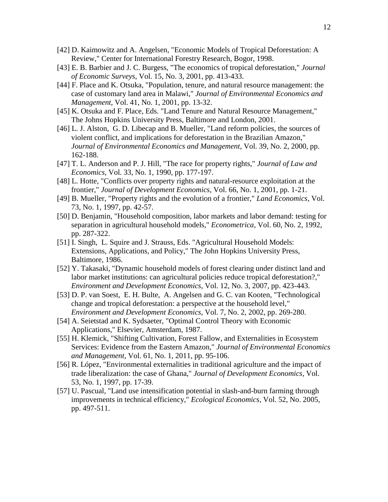- <span id="page-13-0"></span>[42] D. Kaimowitz and A. Angelsen, "Economic Models of Tropical Deforestation: A Review," Center for International Forestry Research, Bogor, 1998.
- <span id="page-13-1"></span>[43] E. B. Barbier and J. C. Burgess, "The economics of tropical deforestation," *Journal of Economic Surveys*, Vol. 15, No. 3, 2001, pp. 413-433.
- <span id="page-13-2"></span>[44] F. Place and K. Otsuka, "Population, tenure, and natural resource management: the case of customary land area in Malawi," *Journal of Environmental Economics and Management*, Vol. 41, No. 1, 2001, pp. 13-32.
- <span id="page-13-3"></span>[45] K. Otsuka and F. Place, Eds. "Land Tenure and Natural Resource Management," The Johns Hopkins University Press, Baltimore and London, 2001.
- <span id="page-13-4"></span>[46] L. J. Alston, G. D. Libecap and B. Mueller, "Land reform policies, the sources of violent conflict, and implications for deforestation in the Brazilian Amazon," *Journal of Environmental Economics and Management*, Vol. 39, No. 2, 2000, pp. 162-188.
- <span id="page-13-5"></span>[47] T. L. Anderson and P. J. Hill, "The race for property rights," *Journal of Law and Economics*, Vol. 33, No. 1, 1990, pp. 177-197.
- [48] L. Hotte, "Conflicts over property rights and natural-resource exploitation at the frontier," *Journal of Development Economics*, Vol. 66, No. 1, 2001, pp. 1-21.
- [49] B. Mueller, "Property rights and the evolution of a frontier," *Land Economics*, Vol. 73, No. 1, 1997, pp. 42-57.
- <span id="page-13-6"></span>[50] D. Benjamin, "Household composition, labor markets and labor demand: testing for separation in agricultural household models," *Econometrica*, Vol. 60, No. 2, 1992, pp. 287-322.
- <span id="page-13-7"></span>[51] I. Singh, L. Squire and J. Strauss, Eds. "Agricultural Household Models: Extensions, Applications, and Policy," The John Hopkins University Press, Baltimore, 1986.
- <span id="page-13-8"></span>[52] Y. Takasaki, "Dynamic household models of forest clearing under distinct land and labor market institutions: can agricultural policies reduce tropical deforestation?," *Environment and Development Economics*, Vol. 12, No. 3, 2007, pp. 423-443.
- <span id="page-13-9"></span>[53] D. P. van Soest, E. H. Bulte, A. Angelsen and G. C. van Kooten, "Technological change and tropical deforestation: a perspective at the household level," *Environment and Development Economics*, Vol. 7, No. 2, 2002, pp. 269-280.
- <span id="page-13-10"></span>[54] A. Seietstad and K. Sydsaeter, "Optimal Control Theory with Economic Applications," Elsevier, Amsterdam, 1987.
- <span id="page-13-11"></span>[55] H. Klemick, "Shifting Cultivation, Forest Fallow, and Externalities in Ecosystem Services: Evidence from the Eastern Amazon," *Journal of Environmental Economics and Management*, Vol. 61, No. 1, 2011, pp. 95-106.
- <span id="page-13-12"></span>[56] R. López, "Environmental externalities in traditional agriculture and the impact of trade liberalization: the case of Ghana," *Journal of Development Economics*, Vol. 53, No. 1, 1997, pp. 17-39.
- <span id="page-13-13"></span>[57] U. Pascual, "Land use intensification potential in slash-and-burn farming through improvements in technical efficiency," *Ecological Economics*, Vol. 52, No. 2005, pp. 497-511.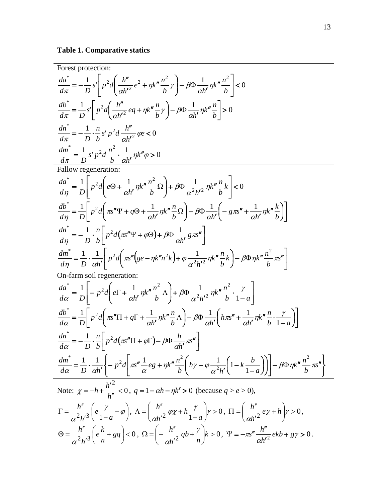**Table 1. Comparative statics**

Forest protection:  
\n
$$
\frac{da^*}{dx^*} = -\frac{1}{D} s \left[ p^2 d \left( \frac{h''}{ah'} e^2 + \eta k'' \frac{n^2}{b'} \gamma \right) - \beta \Phi \frac{1}{ah'} \eta k'' \frac{n^2}{b} \right] < 0
$$
\n
$$
\frac{db^*}{dx^*} = \frac{1}{D} s \left[ p^2 d \left( \frac{h''}{ah'} e^2 + \eta k'' \frac{n}{b'} \gamma \right) - \beta \Phi \frac{1}{ah'} \eta k'' \frac{n}{b} \right] > 0
$$
\n
$$
\frac{dn^*}{dx^*} = -\frac{1}{D} \cdot \frac{n}{D} s' p^2 d \frac{h''}{ah'} \frac{n}{ab'} \frac{p}{c} < 0
$$
\n
$$
\frac{dm^*}{dx^*} = -\frac{1}{D} \cdot \frac{n}{D} s' p^2 d \frac{n^2}{b'} \frac{1}{ah'} \eta k'' \frac{n}{b} > 0
$$
\nFallow representation:  
\n
$$
\frac{da^*}{d\eta} = \frac{1}{D} \left[ p^2 d \left( e\Theta + \frac{1}{ah'} \eta k'' \frac{n^2}{b} \Omega \right) + \beta \Phi \frac{1}{\alpha^2 h'^2} \eta k'' \frac{n}{b} k \right] < 0
$$
\n
$$
\frac{db^*}{dt \eta} = \frac{1}{D} \left[ p^2 d \left( \pi \sqrt{n} \Psi + q\Theta + \frac{1}{ah'} \eta k'' \frac{n}{b} \Omega \right) - \beta \Phi \frac{1}{ah'} \left( - g \pi \sqrt{n} + \frac{1}{ah'} \eta k'' \frac{n}{b} \right) \right]
$$
\n
$$
\frac{dn^*}{d\eta} = -\frac{1}{D} \cdot \frac{n}{D} \left[ p^2 d \left( \pi \sqrt{n} \Psi + q\Theta + \frac{1}{ah'} \eta k'' \frac{n}{b} \Omega \right) - \beta \Phi \frac{1}{ah'} \left( - g \pi \sqrt{n} + \frac{1}{ah'} \eta k'' \frac{n}{b} \right) \right]
$$
\n
$$
\frac{dm^*}{d\eta} = -\frac{1}{D} \cdot \frac{n}{b} \left[ p^2 d \left( \pi \sqrt{n} \Psi + q\Theta + \frac{n}{ah'} \frac{n}{b'} \frac{n}{
$$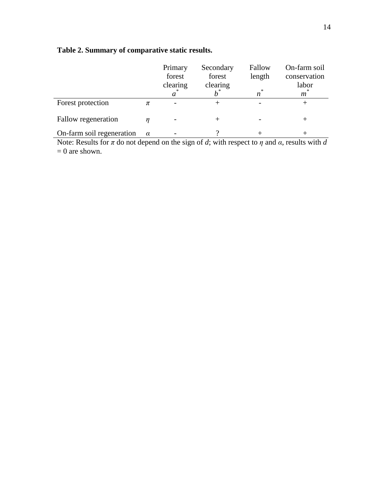# **Table 2. Summary of comparative static results.**

|                           |          | Primary<br>forest<br>clearing<br>a | Secondary<br>forest<br>clearing | Fallow<br>length<br>*<br>n | On-farm soil<br>conservation<br>labor<br>m |
|---------------------------|----------|------------------------------------|---------------------------------|----------------------------|--------------------------------------------|
| Forest protection         | π        |                                    |                                 |                            | ┿                                          |
| Fallow regeneration       |          |                                    | $^+$                            |                            | ┿                                          |
| On-farm soil regeneration | $\alpha$ |                                    |                                 |                            |                                            |

Note: Results for *π* do not depend on the sign of *d*; with respect to *η* and *α*, results with *d*  $= 0$  are shown.